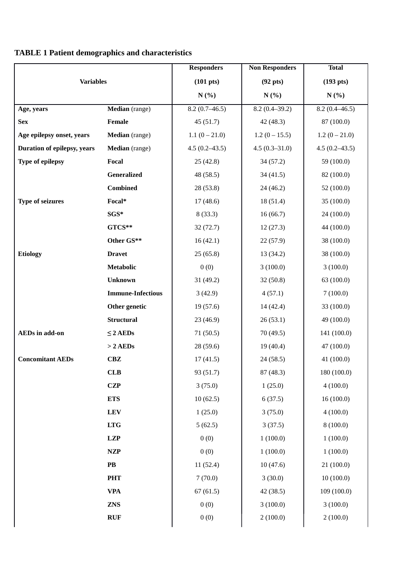## **TABLE 1 Patient demographics and characteristics**

|                             |                          | <b>Responders</b>   | <b>Non Responders</b> | <b>Total</b>        |
|-----------------------------|--------------------------|---------------------|-----------------------|---------------------|
| <b>Variables</b>            |                          | $(101 \text{ pts})$ | $(92 \text{ pts})$    | $(193 \text{ pts})$ |
|                             |                          | N(%)                | N(%)                  | $N(\%)$             |
| Age, years                  | Median (range)           | $8.2(0.7-46.5)$     | $8.2(0.4 - 39.2)$     | $8.2(0.4 - 46.5)$   |
| <b>Sex</b>                  | Female                   | 45(51.7)            | 42(48.3)              | 87 (100.0)          |
| Age epilepsy onset, years   | Median (range)           | $1.1(0-21.0)$       | $1.2(0-15.5)$         | $1.2(0-21.0)$       |
| Duration of epilepsy, years | Median (range)           | $4.5(0.2 - 43.5)$   | $4.5(0.3 - 31.0)$     | $4.5(0.2 - 43.5)$   |
| Type of epilepsy            | Focal                    | 25(42.8)            | 34(57.2)              | 59 (100.0)          |
|                             | Generalized              | 48 (58.5)           | 34(41.5)              | 82 (100.0)          |
|                             | <b>Combined</b>          | 28(53.8)            | 24(46.2)              | 52 (100.0)          |
| <b>Type of seizures</b>     | Focal*                   | 17(48.6)            | 18(51.4)              | 35 (100.0)          |
|                             | SGS*                     | 8(33.3)             | 16(66.7)              | 24 (100.0)          |
|                             | GTCS**                   | 32(72.7)            | 12(27.3)              | 44 (100.0)          |
|                             | Other GS**               | 16(42.1)            | 22(57.9)              | 38 (100.0)          |
| <b>Etiology</b>             | <b>Dravet</b>            | 25(65.8)            | 13(34.2)              | 38 (100.0)          |
|                             | Metabolic                | 0(0)                | 3(100.0)              | 3(100.0)            |
|                             | <b>Unknown</b>           | 31(49.2)            | 32(50.8)              | 63 (100.0)          |
|                             | <b>Immune-Infectious</b> | 3(42.9)             | 4(57.1)               | 7(100.0)            |
|                             | Other genetic            | 19(57.6)            | 14(42.4)              | 33 (100.0)          |
|                             | <b>Structural</b>        | 23(46.9)            | 26(53.1)              | 49 (100.0)          |
| <b>AEDs</b> in add-on       | $\leq$ 2 AEDs            | 71(50.5)            | 70 (49.5)             | 141 (100.0)         |
|                             | $> 2$ AEDs               | 28(59.6)            | 19(40.4)              | 47 (100.0)          |
| <b>Concomitant AEDs</b>     | <b>CBZ</b>               | 17(41.5)            | 24(58.5)              | 41 (100.0)          |
|                             | CLB                      | 93 (51.7)           | 87 (48.3)             | 180 (100.0)         |
|                             | <b>CZP</b>               | 3(75.0)             | 1(25.0)               | 4(100.0)            |
|                             | <b>ETS</b>               | 10(62.5)            | 6(37.5)               | 16(100.0)           |
|                             | <b>LEV</b>               | 1(25.0)             | 3(75.0)               | 4(100.0)            |
|                             | <b>LTG</b>               | 5(62.5)             | 3(37.5)               | 8(100.0)            |
|                             | <b>LZP</b>               | 0(0)                | 1(100.0)              | 1(100.0)            |
|                             | <b>NZP</b>               | 0(0)                | 1(100.0)              | 1(100.0)            |
|                             | PB                       | 11(52.4)            | 10(47.6)              | 21 (100.0)          |
|                             | <b>PHT</b>               | 7(70.0)             | 3(30.0)               | 10(100.0)           |
|                             | <b>VPA</b>               | 67(61.5)            | 42 (38.5)             | 109 (100.0)         |
|                             | <b>ZNS</b>               | 0(0)                | 3(100.0)              | 3(100.0)            |
|                             | <b>RUF</b>               | 0(0)                | 2(100.0)              | 2(100.0)            |